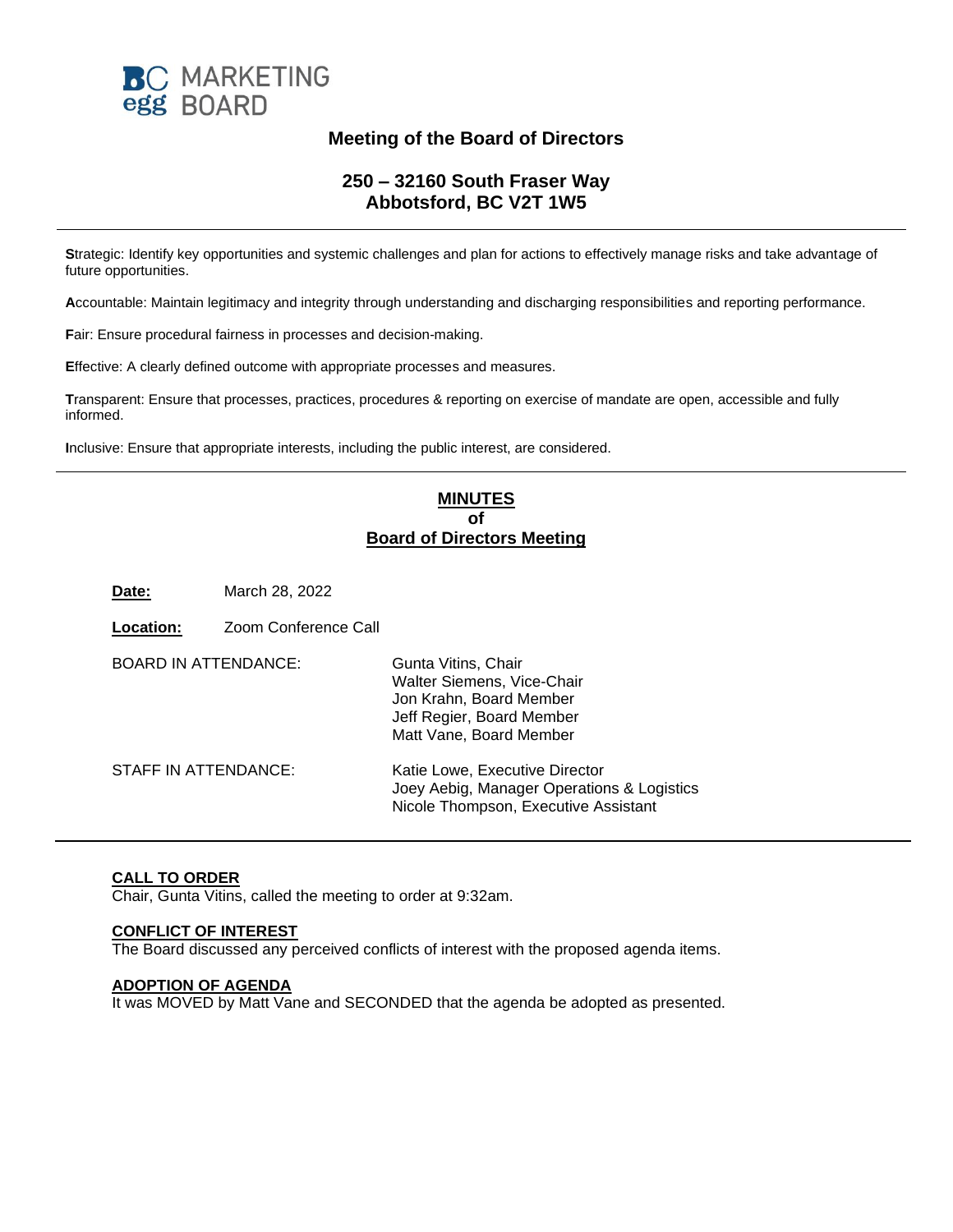

# **Meeting of the Board of Directors**

## **250 – 32160 South Fraser Way Abbotsford, BC V2T 1W5**

**S**trategic: Identify key opportunities and systemic challenges and plan for actions to effectively manage risks and take advantage of future opportunities.

**A**ccountable: Maintain legitimacy and integrity through understanding and discharging responsibilities and reporting performance.

**F**air: Ensure procedural fairness in processes and decision-making.

**E**ffective: A clearly defined outcome with appropriate processes and measures.

**T**ransparent: Ensure that processes, practices, procedures & reporting on exercise of mandate are open, accessible and fully informed.

**I**nclusive: Ensure that appropriate interests, including the public interest, are considered.

## **MINUTES of Board of Directors Meeting**

**Date:** March 28, 2022

**Location:** Zoom Conference Call

| <b>BOARD IN ATTENDANCE:</b> | Gunta Vitins, Chair<br>Walter Siemens, Vice-Chair<br>Jon Krahn, Board Member<br>Jeff Regier, Board Member<br>Matt Vane, Board Member |
|-----------------------------|--------------------------------------------------------------------------------------------------------------------------------------|
| STAFF IN ATTENDANCE:        | Katie Lowe, Executive Director<br>Joey Aebig, Manager Operations & Logistics<br>Nicole Thompson, Executive Assistant                 |

## **CALL TO ORDER**

Chair, Gunta Vitins, called the meeting to order at 9:32am.

### **CONFLICT OF INTEREST**

The Board discussed any perceived conflicts of interest with the proposed agenda items.

#### **ADOPTION OF AGENDA**

It was MOVED by Matt Vane and SECONDED that the agenda be adopted as presented.